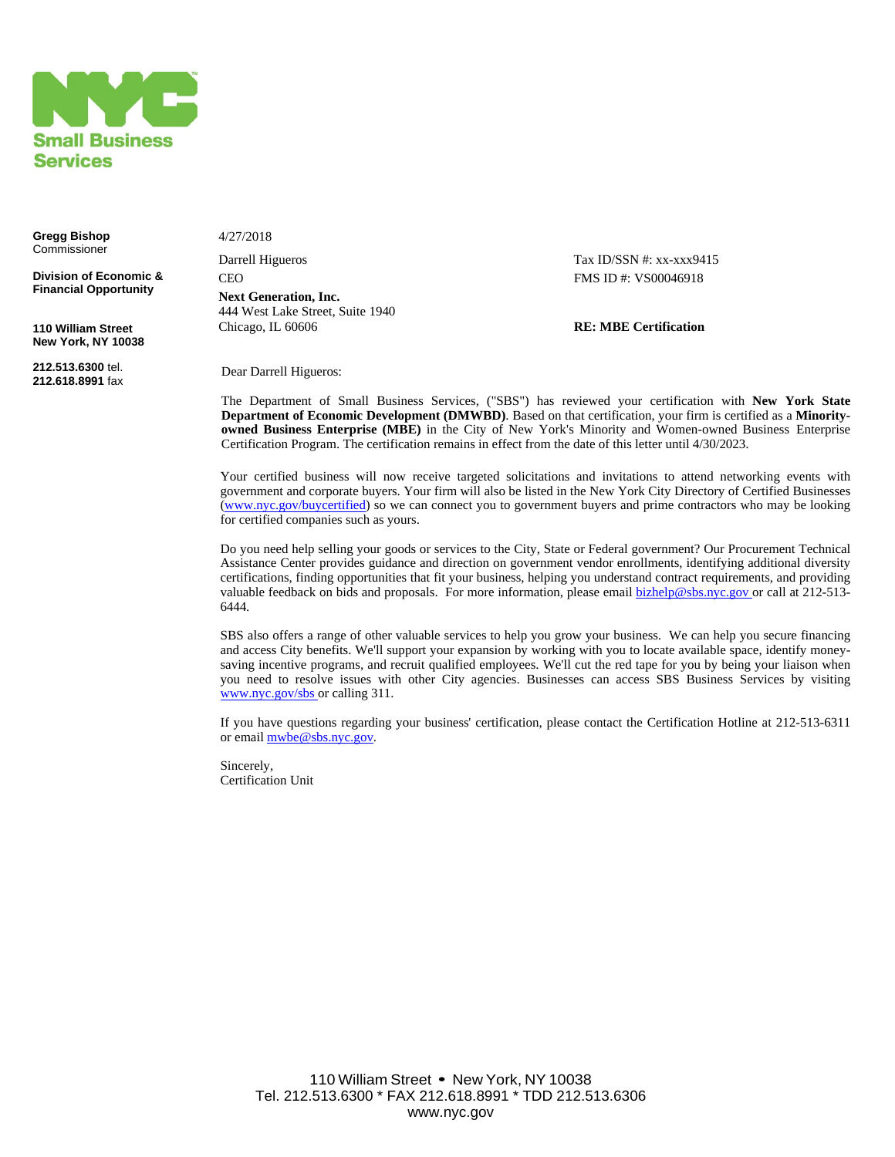

**Gregg Bishop** Commissioner

**Division of Economic & Financial Opportunity**

**110 William Street New York, NY 10038**

**212.513.6300** tel. **212.618.8991** fax 4/27/2018

Darrell Higueros Tax ID/SSN #: xx-xxx9415 CEO FMS ID #: VS00046918 **Next Generation, Inc.**  444 West Lake Street, Suite 1940 Chicago, IL 60606 **RE: MBE Certification**

Dear Darrell Higueros:

The Department of Small Business Services, ("SBS") has reviewed your certification with **New York State Department of Economic Development (DMWBD)**. Based on that certification, your firm is certified as a **Minorityowned Business Enterprise (MBE)** in the City of New York's Minority and Women-owned Business Enterprise Certification Program. The certification remains in effect from the date of this letter until 4/30/2023.

Your certified business will now receive targeted solicitations and invitations to attend networking events with government and corporate buyers. Your firm will also be listed in the New York City Directory of Certified Businesses ([www.nyc.gov/buycertified](http://www.nyc.gov/buycertified)) so we can connect you to government buyers and prime contractors who may be looking for certified companies such as yours.

Do you need help selling your goods or services to the City, State or Federal government? Our Procurement Technical Assistance Center provides guidance and direction on government vendor enrollments, identifying additional diversity certifications, finding opportunities that fit your business, helping you understand contract requirements, and providing valuable feedback on bids and proposals. For more information, please email [bizhelp@sbs.nyc.gov o](mailto:bizhelp@sbs.nyc.gov)r call at 212-513-6444.

SBS also offers a range of other valuable services to help you grow your business. We can help you secure financing and access City benefits. We'll support your expansion by working with you to locate available space, identify moneysaving incentive programs, and recruit qualified employees. We'll cut the red tape for you by being your liaison when you need to resolve issues with other City agencies. Businesses can access SBS Business Services by visiting [www.nyc.gov/sbs o](http://www.nyc.gov/sbs)r calling 311.

If you have questions regarding your business' certification, please contact the Certification Hotline at 212-513-6311 or email mybe@sbs.nyc.gov.

Sincerely, Certification Unit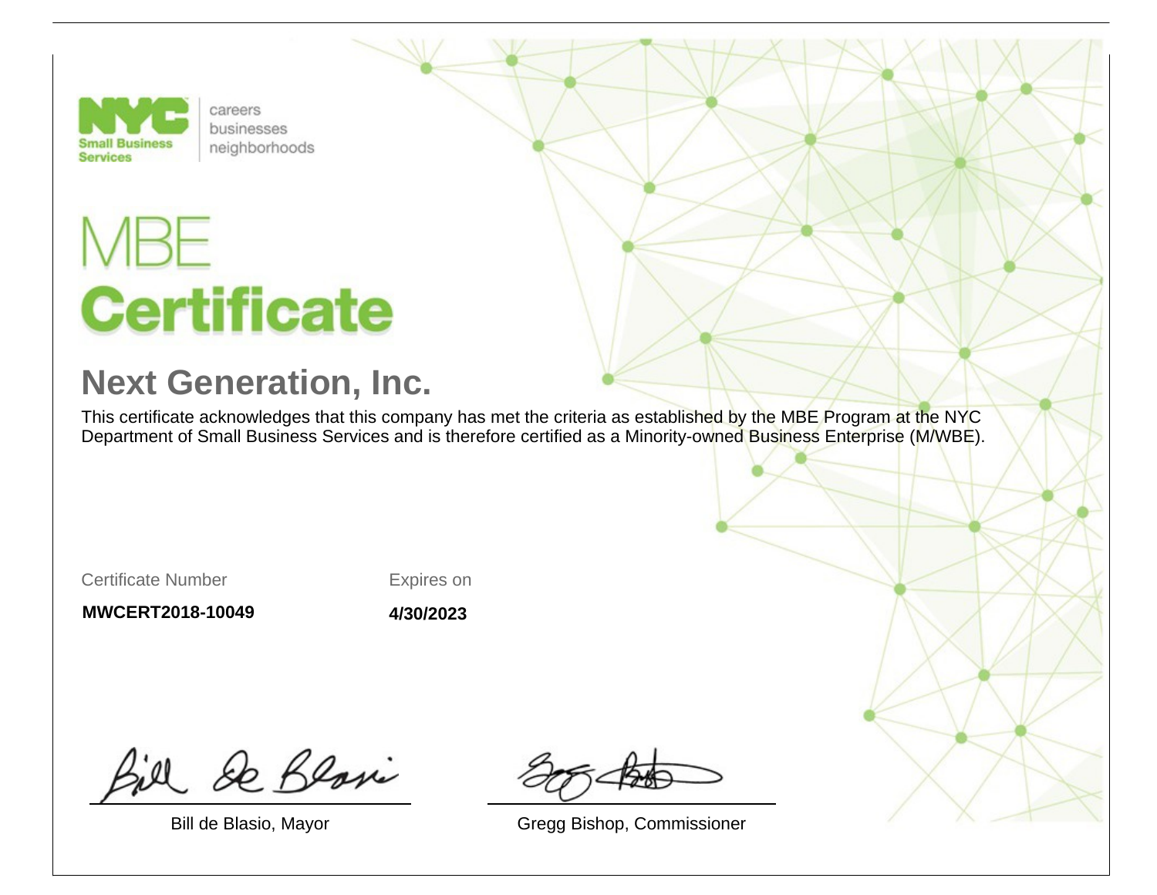

careers businesses neighborhoods

## **Certificate**

## **Next Generation, Inc.**

This certificate acknowledges that this company has met the criteria as established by the MBE Program at the NYC Department of Small Business Services and is therefore certified as a Minority-owned Business Enterprise (M/WBE).

Certificate Number

Expires on

**MWCERT2018-10049**

**4/30/2023**

& Blosi

Bill de Blasio, Mayor Gregg Bishop, Commissioner